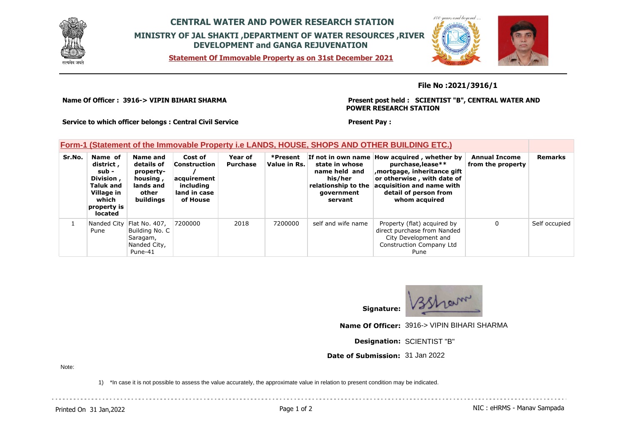

## **CENTRAL WATER AND POWER RESEARCH STATION MINISTRY OF JAL SHAKTI ,DEPARTMENT OF WATER RESOURCES ,RIVER DEVELOPMENT and GANGA REJUVENATION**

**Statement Of Immovable Property as on 31st December 2021**



## **File No :2021/3916/1**

**Name Of Officer : 3916-> VIPIN BIHARI SHARMA** 

**Present post held : SCIENTIST "B", CENTRAL WATER AND POWER RESEARCH STATION**

**Service to which officer belongs : Central Civil Service**

## **Present Pay :**

## **Form-1 (Statement of the Immovable Property i.e LANDS, HOUSE, SHOPS AND OTHER BUILDING ETC.)**

| Sr.No. | Name of<br>district,<br>sub -<br>Division,<br><b>Taluk and</b><br>Village in<br>which<br>property is<br>located | Name and<br>details of<br>property-<br>housing,<br>lands and<br>other<br>buildings   | Cost of<br>Construction<br>lacquirement<br>includina<br>land in case<br>of House | Year of<br><b>Purchase</b> | *Present<br>Value in Rs. | If not in own name I<br>state in whose<br>name held and<br>his/her<br>relationship to the<br>government<br>servant | How acquired, whether by<br>purchase, lease**<br>mortgage, inheritance gift<br>or otherwise, with date of<br>acquisition and name with<br>detail of person from<br>whom acquired | <b>Annual Income</b><br>from the property | <b>Remarks</b> |
|--------|-----------------------------------------------------------------------------------------------------------------|--------------------------------------------------------------------------------------|----------------------------------------------------------------------------------|----------------------------|--------------------------|--------------------------------------------------------------------------------------------------------------------|----------------------------------------------------------------------------------------------------------------------------------------------------------------------------------|-------------------------------------------|----------------|
|        | Pune                                                                                                            | Nanded City   Flat No. 407,<br>Building No. C<br>Saragam,<br>Nanded City,<br>Pune-41 | 7200000                                                                          | 2018                       | 7200000                  | self and wife name                                                                                                 | Property (flat) acquired by<br>direct purchase from Nanded<br>City Development and<br><b>Construction Company Ltd</b><br>Pune                                                    | 0                                         | Self occupied  |



**Signature:**

**Name Of Officer:** 3916-> VIPIN BIHARI SHARMA

**Designation:** SCIENTIST "B"

**Date of Submission:** 31 Jan 2022

Note:

1) \*In case it is not possible to assess the value accurately, the approximate value in relation to present condition may be indicated.

Printed On 31 Jan, 2022 **Page 1 of 2** Page 1 of 2 **Page 1 of 2** NIC : eHRMS - Manav Sampada